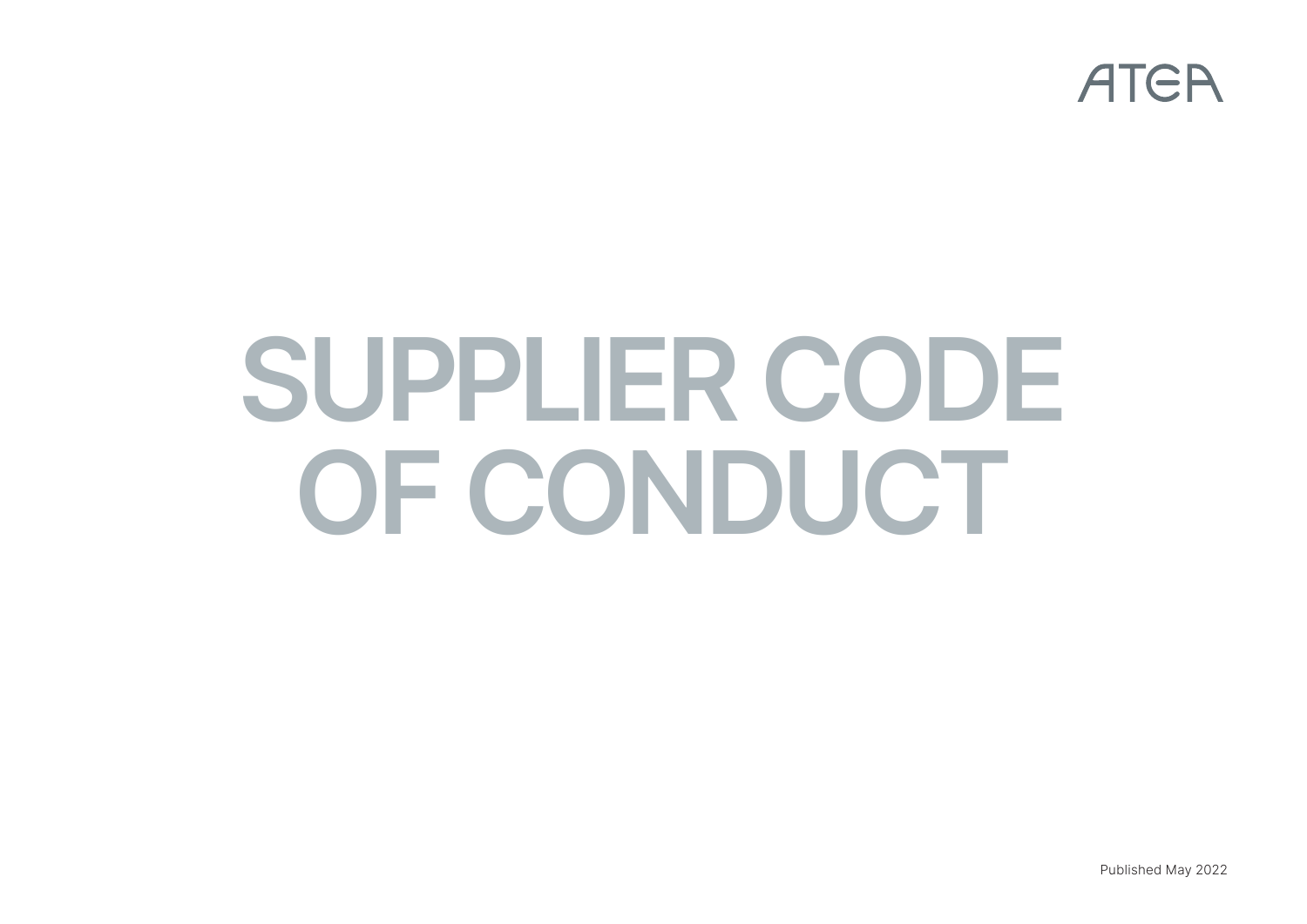

# **SUPPLIER CODE OF CONDUCT**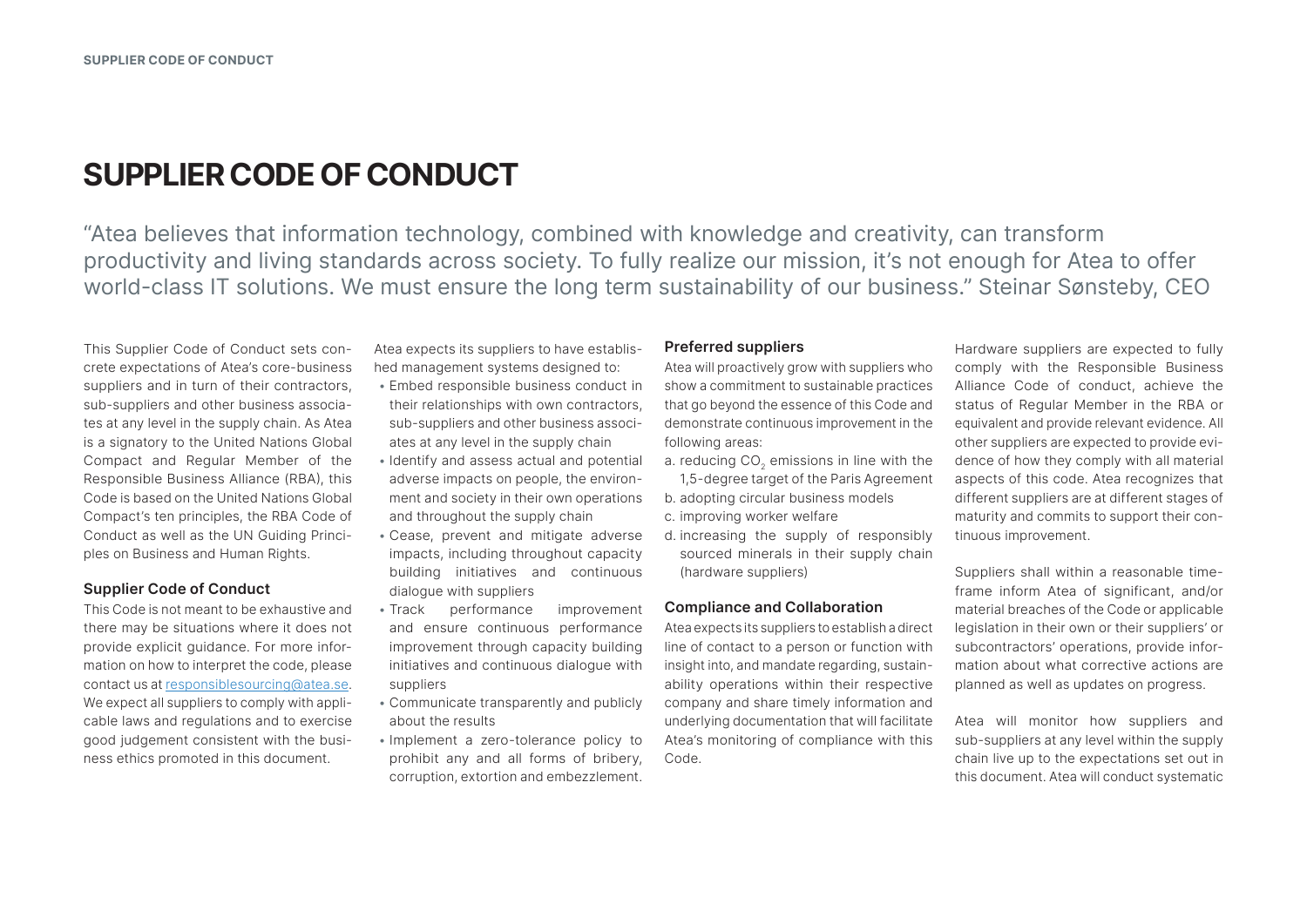# **SUPPLIER CODE OF CONDUCT**

"Atea believes that information technology, combined with knowledge and creativity, can transform productivity and living standards across society. To fully realize our mission, it's not enough for Atea to offer world-class IT solutions. We must ensure the long term sustainability of our business." Steinar Sønsteby, CEO

This Supplier Code of Conduct sets concrete expectations of Atea's core-business suppliers and in turn of their contractors, sub-suppliers and other business associates at any level in the supply chain. As Atea is a signatory to the United Nations Global Compact and Regular Member of the Responsible Business Alliance (RBA), this Code is based on the United Nations Global Compact's ten principles, the RBA Code of Conduct as well as the UN Guiding Principles on Business and Human Rights.

#### **Supplier Code of Conduct**

This Code is not meant to be exhaustive and there may be situations where it does not provide explicit guidance. For more information on how to interpret the code, please contact us at [responsiblesourcing@atea.se.](mailto:responsiblesourcing%40atea.se?subject=How%20to%20interpret%20the%20code) We expect all suppliers to comply with applicable laws and regulations and to exercise good judgement consistent with the business ethics promoted in this document.

Atea expects its suppliers to have established management systems designed to:

- Embed responsible business conduct in their relationships with own contractors, sub-suppliers and other business associates at any level in the supply chain
- Identify and assess actual and potential adverse impacts on people, the environment and society in their own operations and throughout the supply chain
- Cease, prevent and mitigate adverse impacts, including throughout capacity building initiatives and continuous dialogue with suppliers
- Track performance improvement and ensure continuous performance improvement through capacity building initiatives and continuous dialogue with suppliers
- Communicate transparently and publicly about the results
- Implement a zero-tolerance policy to prohibit any and all forms of bribery, corruption, extortion and embezzlement.

#### **Preferred suppliers**

Atea will proactively grow with suppliers who show a commitment to sustainable practices that go beyond the essence of this Code and demonstrate continuous improvement in the following areas:

- a. reducing CO<sub>2</sub> emissions in line with the 1,5-degree target of the Paris Agreement
- b. adopting circular business models
- c. improving worker welfare
- d. increasing the supply of responsibly sourced minerals in their supply chain (hardware suppliers)

#### **Compliance and Collaboration**

Atea expects its suppliers to establish a direct line of contact to a person or function with insight into, and mandate regarding, sustainability operations within their respective company and share timely information and underlying documentation that will facilitate Atea's monitoring of compliance with this Code.

Hardware suppliers are expected to fully comply with the Responsible Business Alliance Code of conduct, achieve the status of Regular Member in the RBA or equivalent and provide relevant evidence. All other suppliers are expected to provide evidence of how they comply with all material aspects of this code. Atea recognizes that different suppliers are at different stages of maturity and commits to support their continuous improvement.

Suppliers shall within a reasonable timeframe inform Atea of significant, and/or material breaches of the Code or applicable legislation in their own or their suppliers' or subcontractors' operations, provide information about what corrective actions are planned as well as updates on progress.

Atea will monitor how suppliers and sub-suppliers at any level within the supply chain live up to the expectations set out in this document. Atea will conduct systematic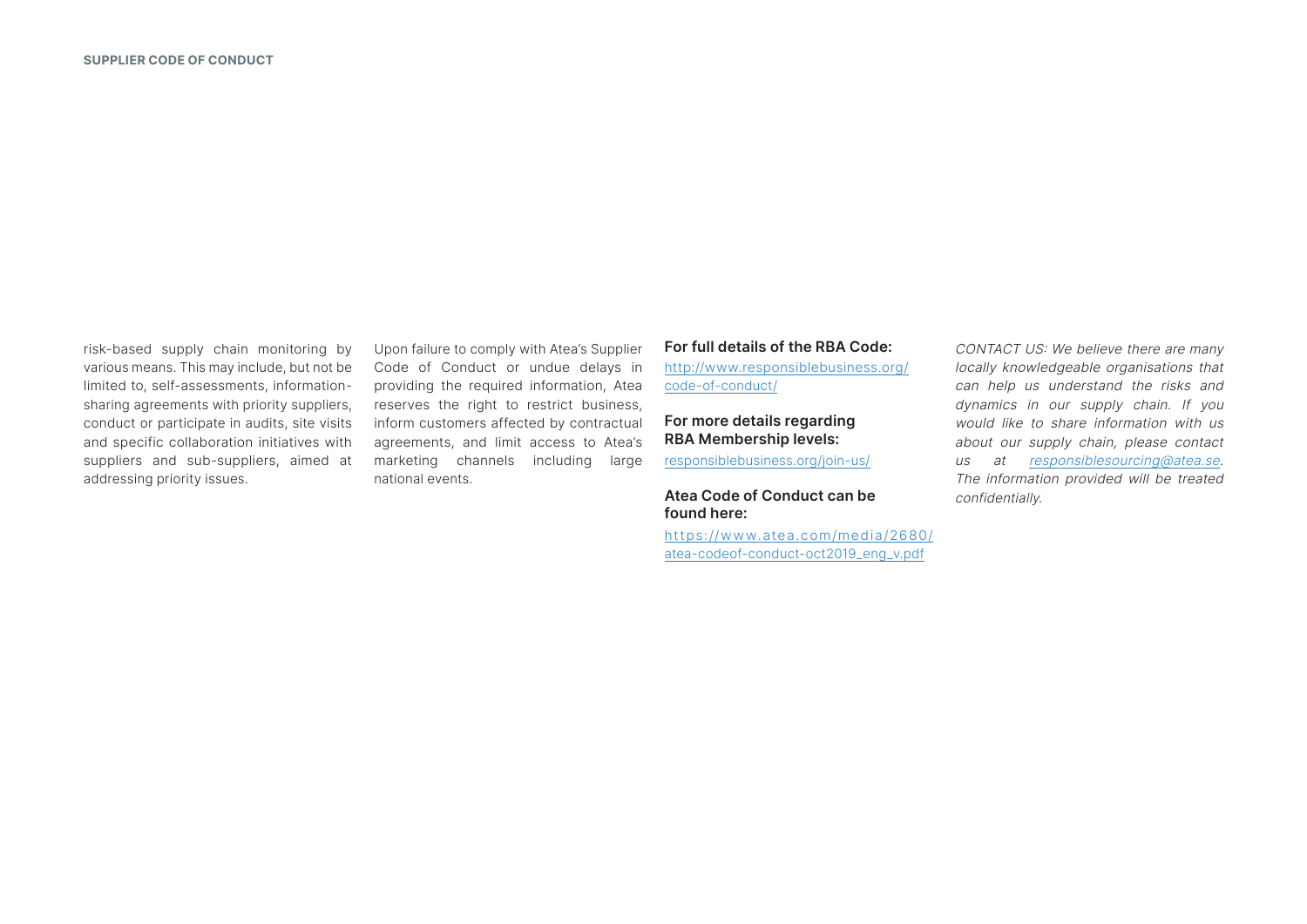risk-based supply chain monitoring by various means. This may include, but not be limited to, self-assessments, informationsharing agreements with priority suppliers, conduct or participate in audits, site visits and specific collaboration initiatives with suppliers and sub-suppliers, aimed at addressing priority issues.

Upon failure to comply with Atea's Supplier Code of Conduct or undue delays in providing the required information, Atea reserves the right to restrict business, inform customers affected by contractual agreements, and limit access to Atea's marketing channels including large national events.

#### **For full details of the RBA Code:**

[http://www.responsiblebusiness.org/](http://www.responsiblebusiness.org/code-of-conduct/) [code-of-conduct/](http://www.responsiblebusiness.org/code-of-conduct/)

## **For more details regarding RBA Membership levels:**

[responsiblebusiness.org/join-us/](http://responsiblebusiness.org/join-us/)

#### **Atea Code of Conduct can be found here:**

[https://www.atea.com/media/2680/](https://www.atea.com/media/2680/atea-codeof-conduct-oct2019_eng_v.pdf) [atea-codeof-conduct-oct2019\\_eng\\_v.pdf](https://www.atea.com/media/2680/atea-codeof-conduct-oct2019_eng_v.pdf)

CONTACT US: We believe there are many locally knowledgeable organisations that can help us understand the risks and dynamics in our supply chain. If you would like to share information with us about our supply chain, please contact us at [responsiblesourcing@atea.se](mailto:responsiblesourcing%40atea.se?subject=). The information provided will be treated confidentially.